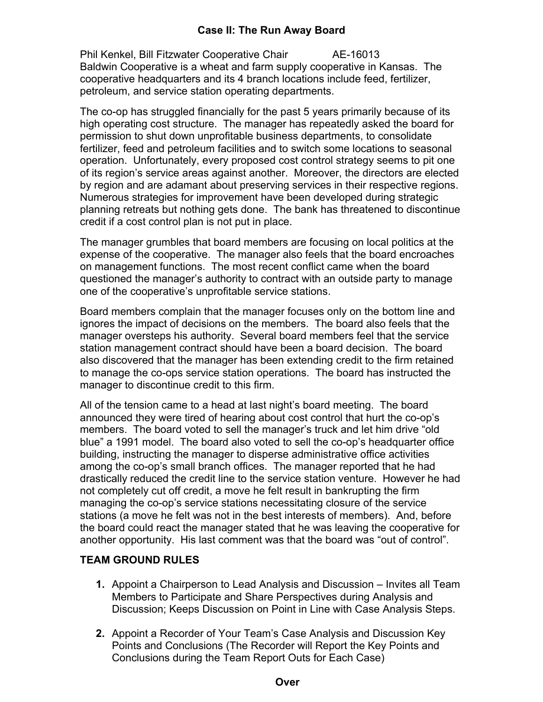## **Case II: The Run Away Board**

Phil Kenkel, Bill Fitzwater Cooperative Chair **AE-16013** Baldwin Cooperative is a wheat and farm supply cooperative in Kansas. The cooperative headquarters and its 4 branch locations include feed, fertilizer, petroleum, and service station operating departments.

The co-op has struggled financially for the past 5 years primarily because of its high operating cost structure. The manager has repeatedly asked the board for permission to shut down unprofitable business departments, to consolidate fertilizer, feed and petroleum facilities and to switch some locations to seasonal operation. Unfortunately, every proposed cost control strategy seems to pit one of its region's service areas against another. Moreover, the directors are elected by region and are adamant about preserving services in their respective regions. Numerous strategies for improvement have been developed during strategic planning retreats but nothing gets done. The bank has threatened to discontinue credit if a cost control plan is not put in place.

The manager grumbles that board members are focusing on local politics at the expense of the cooperative. The manager also feels that the board encroaches on management functions. The most recent conflict came when the board questioned the manager's authority to contract with an outside party to manage one of the cooperative's unprofitable service stations.

Board members complain that the manager focuses only on the bottom line and ignores the impact of decisions on the members. The board also feels that the manager oversteps his authority. Several board members feel that the service station management contract should have been a board decision. The board also discovered that the manager has been extending credit to the firm retained to manage the co-ops service station operations. The board has instructed the manager to discontinue credit to this firm.

All of the tension came to a head at last night's board meeting. The board announced they were tired of hearing about cost control that hurt the co-op's members. The board voted to sell the manager's truck and let him drive "old blue" a 1991 model. The board also voted to sell the co-op's headquarter office building, instructing the manager to disperse administrative office activities among the co-op's small branch offices. The manager reported that he had drastically reduced the credit line to the service station venture. However he had not completely cut off credit, a move he felt result in bankrupting the firm managing the co-op's service stations necessitating closure of the service stations (a move he felt was not in the best interests of members). And, before the board could react the manager stated that he was leaving the cooperative for another opportunity. His last comment was that the board was "out of control".

## **TEAM GROUND RULES**

- **1.** Appoint a Chairperson to Lead Analysis and Discussion Invites all Team Members to Participate and Share Perspectives during Analysis and Discussion; Keeps Discussion on Point in Line with Case Analysis Steps.
- **2.** Appoint a Recorder of Your Team's Case Analysis and Discussion Key Points and Conclusions (The Recorder will Report the Key Points and Conclusions during the Team Report Outs for Each Case)